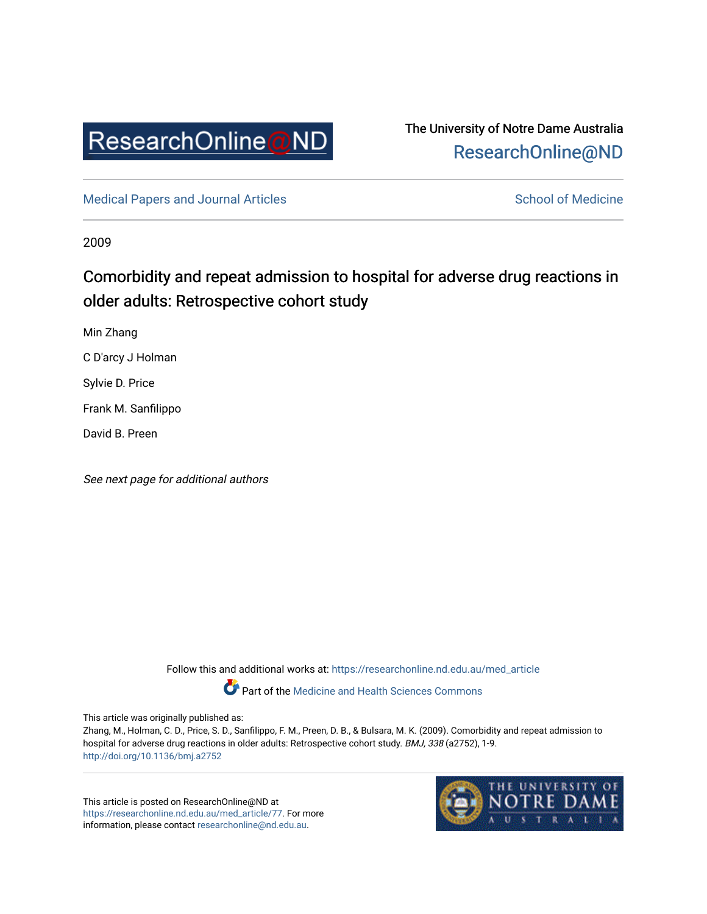

# The University of Notre Dame Australia [ResearchOnline@ND](https://researchonline.nd.edu.au/)

[Medical Papers and Journal Articles](https://researchonline.nd.edu.au/med_article) and School of Medicine

2009

# Comorbidity and repeat admission to hospital for adverse drug reactions in older adults: Retrospective cohort study

Min Zhang C D'arcy J Holman Sylvie D. Price Frank M. Sanfilippo David B. Preen

See next page for additional authors

Follow this and additional works at: [https://researchonline.nd.edu.au/med\\_article](https://researchonline.nd.edu.au/med_article?utm_source=researchonline.nd.edu.au%2Fmed_article%2F77&utm_medium=PDF&utm_campaign=PDFCoverPages)  Part of the [Medicine and Health Sciences Commons](http://network.bepress.com/hgg/discipline/648?utm_source=researchonline.nd.edu.au%2Fmed_article%2F77&utm_medium=PDF&utm_campaign=PDFCoverPages)

This article was originally published as:

Zhang, M., Holman, C. D., Price, S. D., Sanfilippo, F. M., Preen, D. B., & Bulsara, M. K. (2009). Comorbidity and repeat admission to hospital for adverse drug reactions in older adults: Retrospective cohort study. BMJ, 338 (a2752), 1-9. <http://doi.org/10.1136/bmj.a2752>

This article is posted on ResearchOnline@ND at [https://researchonline.nd.edu.au/med\\_article/77.](https://researchonline.nd.edu.au/med_article/77) For more information, please contact [researchonline@nd.edu.au.](mailto:researchonline@nd.edu.au)

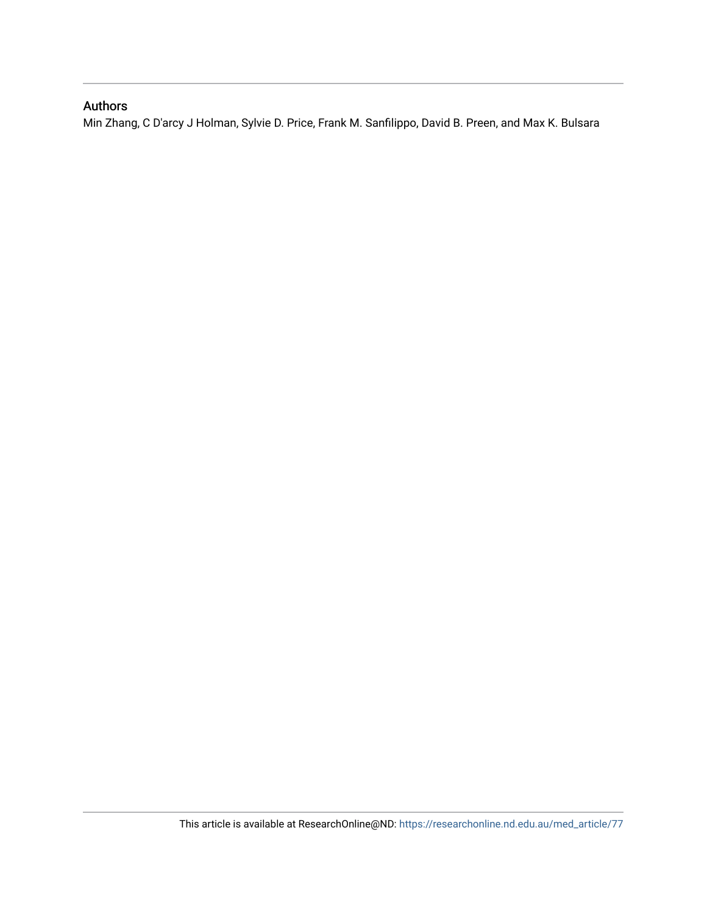## Authors

Min Zhang, C D'arcy J Holman, Sylvie D. Price, Frank M. Sanfilippo, David B. Preen, and Max K. Bulsara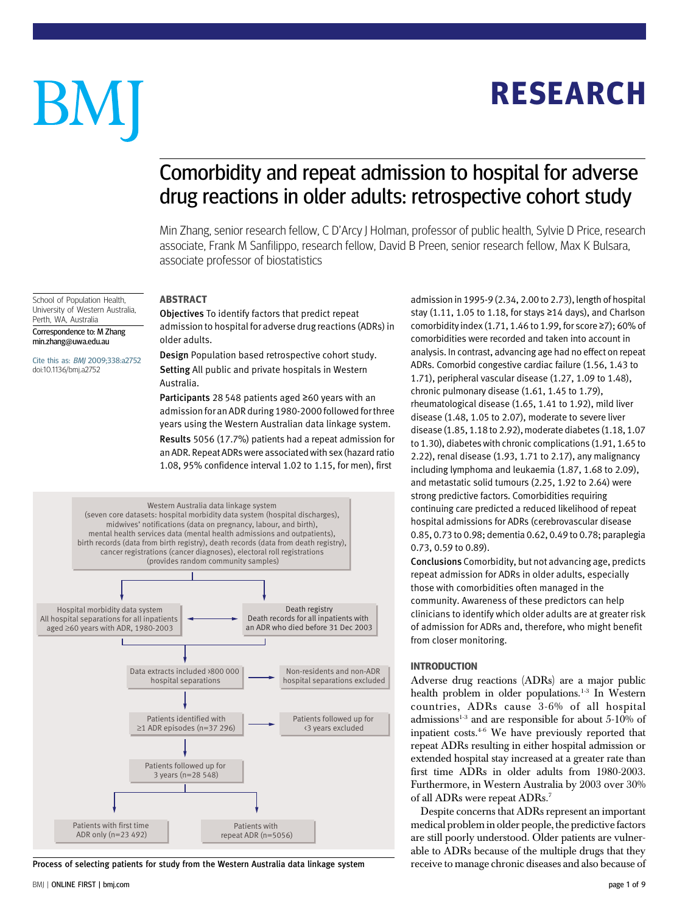# RESEARCH

# Comorbidity and repeat admission to hospital for adverse drug reactions in older adults: retrospective cohort study

Min Zhang, senior research fellow, C D'Arcy J Holman, professor of public health, Sylvie D Price, research associate, Frank M Sanfilippo, research fellow, David B Preen, senior research fellow, Max K Bulsara, associate professor of biostatistics

School of Population Health, University of Western Australia, ABSTRACT

Correspondence to: M Zhang min.zhang@uwa.edu.au

Cite this as: BMJ 2009;338:a2752 doi:10.1136/bmj.a2752

Objectives To identify factors that predict repeat admission to hospital for adverse drug reactions (ADRs) in older adults.

Design Population based retrospective cohort study. Setting All public and private hospitals in Western Australia.

Participants 28 548 patients aged ≥60 years with an admission for an ADR during 1980-2000 followed for three years using the Western Australian data linkage system. Results 5056 (17.7%) patients had a repeat admission for an ADR. Repeat ADRs were associated with sex (hazard ratio 1.08, 95% confidence interval 1.02 to 1.15, for men), first



Process of selecting patients for study from the Western Australia data linkage system

admission in 1995-9 (2.34, 2.00 to 2.73), length of hospital stay (1.11, 1.05 to 1.18, for stays ≥14 days), and Charlson comorbidity index (1.71, 1.46 to 1.99, for score ≥7); 60% of comorbidities were recorded and taken into account in analysis. In contrast, advancing age had no effect on repeat ADRs. Comorbid congestive cardiac failure (1.56, 1.43 to 1.71), peripheral vascular disease (1.27, 1.09 to 1.48), chronic pulmonary disease (1.61, 1.45 to 1.79), rheumatological disease (1.65, 1.41 to 1.92), mild liver disease (1.48, 1.05 to 2.07), moderate to severe liver disease (1.85, 1.18 to 2.92), moderate diabetes (1.18, 1.07 to 1.30), diabetes with chronic complications (1.91, 1.65 to 2.22), renal disease (1.93, 1.71 to 2.17), any malignancy including lymphoma and leukaemia (1.87, 1.68 to 2.09), and metastatic solid tumours (2.25, 1.92 to 2.64) were strong predictive factors. Comorbidities requiring continuing care predicted a reduced likelihood of repeat hospital admissions for ADRs (cerebrovascular disease 0.85, 0.73 to 0.98; dementia 0.62, 0.49 to 0.78; paraplegia 0.73, 0.59 to 0.89).

Conclusions Comorbidity, but not advancing age, predicts repeat admission for ADRs in older adults, especially those with comorbidities often managed in the community. Awareness of these predictors can help clinicians to identify which older adults are at greater risk of admission for ADRs and, therefore, who might benefit from closer monitoring.

### INTRODUCTION

Adverse drug reactions (ADRs) are a major public health problem in older populations.<sup>1-3</sup> In Western countries, ADRs cause 3-6% of all hospital admissions<sup>1-3</sup> and are responsible for about  $5\text{-}10\%$  of inpatient costs.4-6 We have previously reported that repeat ADRs resulting in either hospital admission or extended hospital stay increased at a greater rate than first time ADRs in older adults from 1980-2003. Furthermore, in Western Australia by 2003 over 30% of all ADRs were repeat ADRs.7

Despite concerns that ADRs represent an important medical problem in older people, the predictive factors are still poorly understood. Older patients are vulnerable to ADRs because of the multiple drugs that they receive to manage chronic diseases and also because of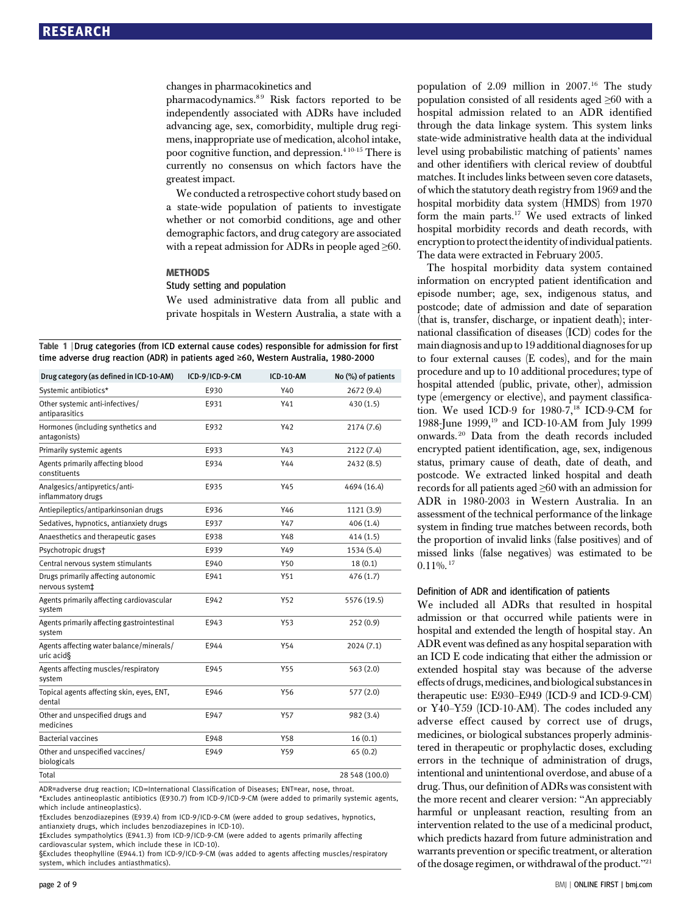#### changes in pharmacokinetics and

pharmacodynamics.<sup>89</sup> Risk factors reported to be independently associated with ADRs have included advancing age, sex, comorbidity, multiple drug regimens, inappropriate use of medication, alcohol intake, poor cognitive function, and depression. $410-15$  There is currently no consensus on which factors have the greatest impact.

We conducted a retrospective cohort study based on a state-wide population of patients to investigate whether or not comorbid conditions, age and other demographic factors, and drug category are associated with a repeat admission for ADRs in people aged  $\geq 60$ .

#### **METHODS**

#### Study setting and population

We used administrative data from all public and private hospitals in Western Australia, a state with a

Table 1 <sup>|</sup> Drug categories (from ICD external cause codes) responsible for admission for first time adverse drug reaction (ADR) in patients aged ≥60, Western Australia, 1980-2000

| Drug category (as defined in ICD-10-AM)                | ICD-9/ICD-9-CM | ICD-10-AM | No (%) of patients |
|--------------------------------------------------------|----------------|-----------|--------------------|
| Systemic antibiotics*                                  | E930           | Y40       | 2672 (9.4)         |
| Other systemic anti-infectives/<br>antiparasitics      | E931           | Y41       | 430(1.5)           |
| Hormones (including synthetics and<br>antagonists)     | E932           | Y42       | 2174 (7.6)         |
| Primarily systemic agents                              | E933           | Y43       | 2122(7.4)          |
| Agents primarily affecting blood<br>constituents       | E934           | Y44       | 2432 (8.5)         |
| Analgesics/antipyretics/anti-<br>inflammatory drugs    | E935           | Y45       | 4694 (16.4)        |
| Antiepileptics/antiparkinsonian drugs                  | E936           | Y46       | 1121 (3.9)         |
| Sedatives, hypnotics, antianxiety drugs                | E937           | Y47       | 406(1.4)           |
| Anaesthetics and therapeutic gases                     | E938           | Y48       | 414(1.5)           |
| Psychotropic drugs†                                    | E939           | Y49       | 1534 (5.4)         |
| Central nervous system stimulants                      | E940           | Y50       | 18(0.1)            |
| Drugs primarily affecting autonomic<br>nervous system‡ | E941           | Y51       | 476(1.7)           |
| Agents primarily affecting cardiovascular<br>system    | E942           | Y52       | 5576 (19.5)        |
| Agents primarily affecting gastrointestinal<br>system  | E943           | Y53       | 252(0.9)           |
| Agents affecting water balance/minerals/<br>uric acid§ | E944           | Y54       | 2024(7.1)          |
| Agents affecting muscles/respiratory<br>system         | E945           | Y55       | 563(2.0)           |
| Topical agents affecting skin, eyes, ENT,<br>dental    | E946           | Y56       | 577(2.0)           |
| Other and unspecified drugs and<br>medicines           | E947           | Y57       | 982 (3.4)          |
| <b>Bacterial vaccines</b>                              | E948           | Y58       | 16(0.1)            |
| Other and unspecified vaccines/<br>biologicals         | E949           | Y59       | 65(0.2)            |
| Total                                                  |                |           | 28 548 (100.0)     |

ADR=adverse drug reaction; ICD=International Classification of Diseases; ENT=ear, nose, throat. \*Excludes antineoplastic antibiotics (E930.7) from ICD-9/ICD-9-CM (were added to primarily systemic agents,

which include antineoplastics). †Excludes benzodiazepines (E939.4) from ICD-9/ICD-9-CM (were added to group sedatives, hypnotics,

antianxiety drugs, which includes benzodiazepines in ICD-10). ‡Excludes sympatholytics (E941.3) from ICD-9/ICD-9-CM (were added to agents primarily affecting

cardiovascular system, which include these in ICD-10).

§Excludes theophylline (E944.1) from ICD-9/ICD-9-CM (was added to agents affecting muscles/respiratory system, which includes antiasthmatics).

population of  $2.09$  million in  $2007<sup>16</sup>$  The study population consisted of all residents aged ≥60 with a hospital admission related to an ADR identified through the data linkage system. This system links state-wide administrative health data at the individual level using probabilistic matching of patients' names and other identifiers with clerical review of doubtful matches. It includes links between seven core datasets, of which the statutory death registry from 1969 and the hospital morbidity data system (HMDS) from 1970 form the main parts.17 We used extracts of linked hospital morbidity records and death records, with encryption to protect the identity of individual patients. The data were extracted in February 2005.

The hospital morbidity data system contained information on encrypted patient identification and episode number; age, sex, indigenous status, and postcode; date of admission and date of separation (that is, transfer, discharge, or inpatient death); international classification of diseases (ICD) codes for the main diagnosis and upto 19 additional diagnosesfor up to four external causes (E codes), and for the main procedure and up to 10 additional procedures; type of hospital attended (public, private, other), admission type (emergency or elective), and payment classification. We used ICD-9 for 1980-7,<sup>18</sup> ICD-9-CM for 1988-June 1999,19 and ICD-10-AM from July 1999 onwards. <sup>20</sup> Data from the death records included encrypted patient identification, age, sex, indigenous status, primary cause of death, date of death, and postcode. We extracted linked hospital and death records for all patients aged ≥60 with an admission for ADR in 1980-2003 in Western Australia. In an assessment of the technical performance of the linkage system in finding true matches between records, both the proportion of invalid links (false positives) and of missed links (false negatives) was estimated to be  $0.11\%$ . 17

#### Definition of ADR and identification of patients

We included all ADRs that resulted in hospital admission or that occurred while patients were in hospital and extended the length of hospital stay. An ADR event was defined as any hospital separation with an ICD E code indicating that either the admission or extended hospital stay was because of the adverse effects of drugs, medicines, and biological substances in therapeutic use: E930–E949 (ICD-9 and ICD-9-CM) or Y40–Y59 (ICD-10-AM). The codes included any adverse effect caused by correct use of drugs, medicines, or biological substances properly administered in therapeutic or prophylactic doses, excluding errors in the technique of administration of drugs, intentional and unintentional overdose, and abuse of a drug. Thus, our definition of ADRs was consistent with the more recent and clearer version: "An appreciably harmful or unpleasant reaction, resulting from an intervention related to the use of a medicinal product, which predicts hazard from future administration and warrants prevention or specific treatment, or alteration of the dosage regimen, or withdrawal of the product."<sup>21</sup>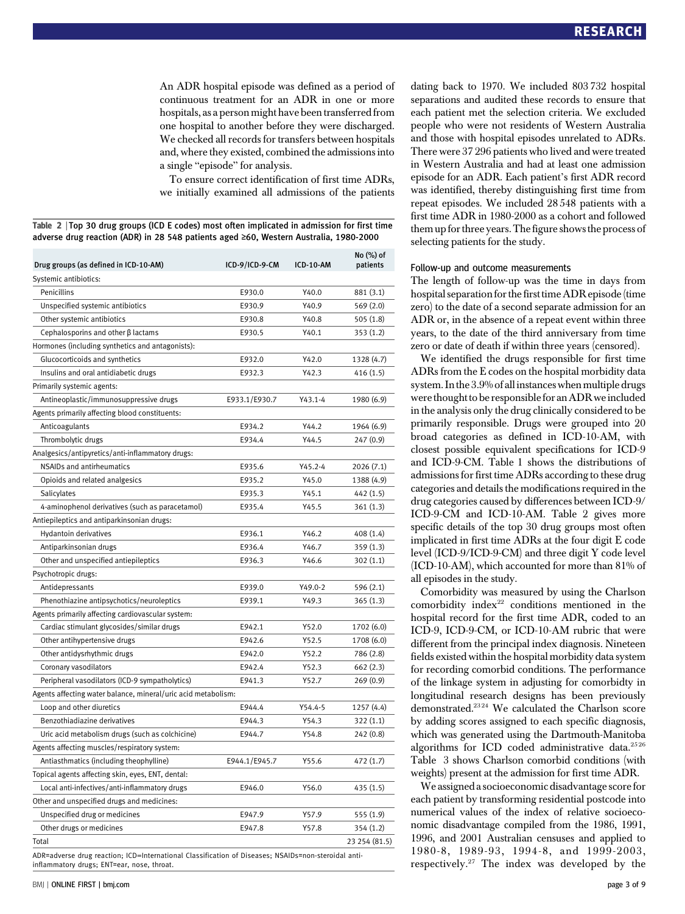An ADR hospital episode was defined as a period of continuous treatment for an ADR in one or more hospitals, as a person might have been transferred from one hospital to another before they were discharged. We checked all records for transfers between hospitals and, where they existed, combined the admissions into a single "episode" for analysis.

To ensure correct identification of first time ADRs, we initially examined all admissions of the patients

Table 2 <sup>|</sup> Top 30 drug groups (ICD E codes) most often implicated in admission for first time adverse drug reaction (ADR) in 28 548 patients aged ≥60, Western Australia, 1980-2000

| Drug groups (as defined in ICD-10-AM)                         | ICD-9/ICD-9-CM | ICD-10-AM | No (%) of<br>patients |
|---------------------------------------------------------------|----------------|-----------|-----------------------|
| Systemic antibiotics:                                         |                |           |                       |
| Penicillins                                                   | E930.0         | Y40.0     | 881 (3.1)             |
| Unspecified systemic antibiotics                              | E930.9         | Y40.9     | 569 (2.0)             |
| Other systemic antibiotics                                    | E930.8         | Y40.8     | 505(1.8)              |
| Cephalosporins and other $\beta$ lactams                      | E930.5         | Y40.1     | 353(1.2)              |
| Hormones (including synthetics and antagonists):              |                |           |                       |
| Glucocorticoids and synthetics                                | E932.0         | Y42.0     | 1328 (4.7)            |
| Insulins and oral antidiabetic drugs                          | E932.3         | Y42.3     | 416 (1.5)             |
| Primarily systemic agents:                                    |                |           |                       |
| Antineoplastic/immunosuppressive drugs                        | E933.1/E930.7  | Y43.1-4   | 1980 (6.9)            |
| Agents primarily affecting blood constituents:                |                |           |                       |
| Anticoagulants                                                | E934.2         | Y44.2     | 1964 (6.9)            |
| Thrombolytic drugs                                            | E934.4         | Y44.5     | 247 (0.9)             |
| Analgesics/antipyretics/anti-inflammatory drugs:              |                |           |                       |
| NSAIDs and antirheumatics                                     | E935.6         | Y45.2-4   | 2026 (7.1)            |
| Opioids and related analgesics                                | E935.2         | Y45.0     | 1388 (4.9)            |
| Salicylates                                                   | E935.3         | Y45.1     | 442 (1.5)             |
| 4-aminophenol derivatives (such as paracetamol)               | E935.4         | Y45.5     | 361(1.3)              |
| Antiepileptics and antiparkinsonian drugs:                    |                |           |                       |
| Hydantoin derivatives                                         | E936.1         | Y46.2     | 408(1.4)              |
| Antiparkinsonian drugs                                        | E936.4         | Y46.7     | 359(1.3)              |
| Other and unspecified antiepileptics                          | E936.3         | Y46.6     | 302(1.1)              |
| Psychotropic drugs:                                           |                |           |                       |
| Antidepressants                                               | E939.0         | Y49.0-2   | 596 (2.1)             |
| Phenothiazine antipsychotics/neuroleptics                     | E939.1         | Y49.3     | 365 (1.3)             |
| Agents primarily affecting cardiovascular system:             |                |           |                       |
| Cardiac stimulant glycosides/similar drugs                    | E942.1         | Y52.0     | 1702 (6.0)            |
| Other antihypertensive drugs                                  | E942.6         | Y52.5     | 1708 (6.0)            |
| Other antidysrhythmic drugs                                   | E942.0         | Y52.2     | 786 (2.8)             |
| Coronary vasodilators                                         | E942.4         | Y52.3     | 662(2.3)              |
| Peripheral vasodilators (ICD-9 sympatholytics)                | E941.3         | Y52.7     | 269(0.9)              |
| Agents affecting water balance, mineral/uric acid metabolism: |                |           |                       |
| Loop and other diuretics                                      | E944.4         | Y54.4-5   | 1257 (4.4)            |
| Benzothiadiazine derivatives                                  | E944.3         | Y54.3     | 322(1.1)              |
| Uric acid metabolism drugs (such as colchicine)               | E944.7         | Y54.8     | 242 (0.8)             |
| Agents affecting muscles/respiratory system:                  |                |           |                       |
| Antiasthmatics (including theophylline)                       | E944.1/E945.7  | Y55.6     | 472 (1.7)             |
| Topical agents affecting skin, eyes, ENT, dental:             |                |           |                       |
| Local anti-infectives/anti-inflammatory drugs                 | E946.0         | Y56.0     | 435 (1.5)             |
| Other and unspecified drugs and medicines:                    |                |           |                       |
| Unspecified drug or medicines                                 | E947.9         | Y57.9     | 555 (1.9)             |
| Other drugs or medicines                                      | E947.8         | Y57.8     | 354 (1.2)             |
| Total                                                         |                |           | 23 254 (81.5)         |

ADR=adverse drug reaction; ICD=International Classification of Diseases; NSAIDs=non-steroidal antiinflammatory drugs; ENT=ear, nose, throat.

dating back to 1970. We included 803 732 hospital separations and audited these records to ensure that each patient met the selection criteria. We excluded people who were not residents of Western Australia and those with hospital episodes unrelated to ADRs. There were 37 296 patients who lived and were treated in Western Australia and had at least one admission episode for an ADR. Each patient's first ADR record was identified, thereby distinguishing first time from repeat episodes. We included 28 548 patients with a first time ADR in 1980-2000 as a cohort and followed them up for three years. The figure shows the process of selecting patients for the study.

#### Follow-up and outcome measurements

The length of follow-up was the time in days from hospital separation for the first time ADR episode (time zero) to the date of a second separate admission for an ADR or, in the absence of a repeat event within three years, to the date of the third anniversary from time zero or date of death if within three years (censored).

We identified the drugs responsible for first time ADRs from the E codes on the hospital morbidity data system. In the 3.9% of all instances when multiple drugs were thought to be responsible for an ADR we included in the analysis only the drug clinically considered to be primarily responsible. Drugs were grouped into 20 broad categories as defined in ICD-10-AM, with closest possible equivalent specifications for ICD-9 and ICD-9-CM. Table 1 shows the distributions of admissions for first time ADRs according to these drug categories and details the modifications required in the drug categories caused by differences between ICD-9/ ICD-9-CM and ICD-10-AM. Table 2 gives more specific details of the top 30 drug groups most often implicated in first time ADRs at the four digit E code level (ICD-9/ICD-9-CM) and three digit Y code level (ICD-10-AM), which accounted for more than 81% of all episodes in the study.

Comorbidity was measured by using the Charlson comorbidity index $22$  conditions mentioned in the hospital record for the first time ADR, coded to an ICD-9, ICD-9-CM, or ICD-10-AM rubric that were different from the principal index diagnosis. Nineteen fields existed within the hospital morbidity data system for recording comorbid conditions. The performance of the linkage system in adjusting for comorbidty in longitudinal research designs has been previously demonstrated.23 24 We calculated the Charlson score by adding scores assigned to each specific diagnosis, which was generated using the Dartmouth-Manitoba algorithms for ICD coded administrative data.<sup>2526</sup> Table 3 shows Charlson comorbid conditions (with weights) present at the admission for first time ADR.

We assigned a socioeconomic disadvantage scorefor each patient by transforming residential postcode into numerical values of the index of relative socioeconomic disadvantage compiled from the 1986, 1991, 1996, and 2001 Australian censuses and applied to 1980-8, 1989-93, 1994-8, and 1999-2003, respectively.<sup>27</sup> The index was developed by the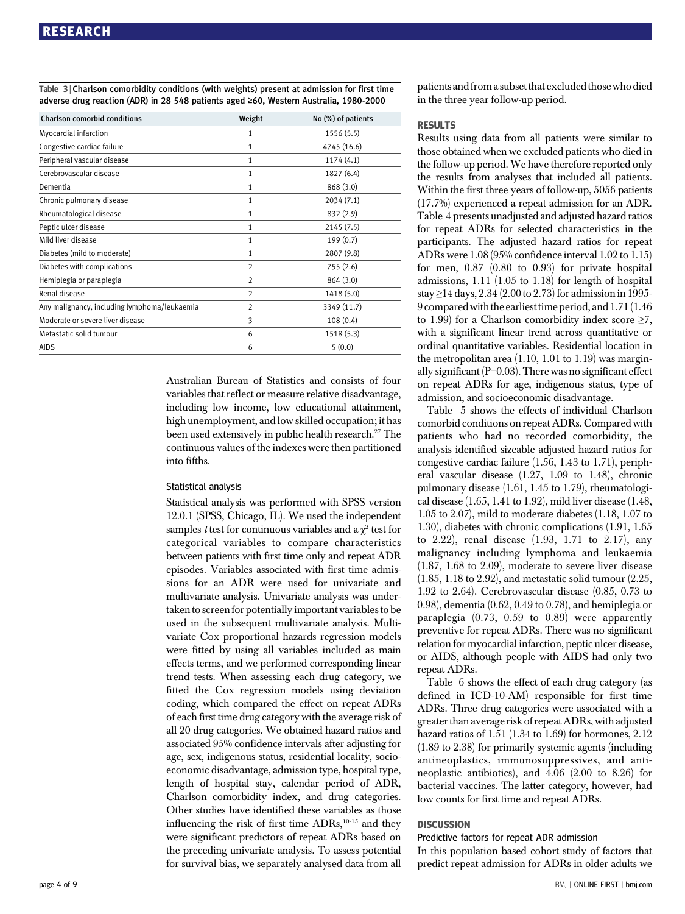Table 3 | Charlson comorbidity conditions (with weights) present at admission for first time adverse drug reaction (ADR) in 28 548 patients aged ≥60, Western Australia, 1980-2000

| <b>Charlson comorbid conditions</b>          | Weight         | No (%) of patients |
|----------------------------------------------|----------------|--------------------|
| Myocardial infarction                        | 1              | 1556 (5.5)         |
| Congestive cardiac failure                   | $\mathbf{1}$   | 4745 (16.6)        |
| Peripheral vascular disease                  | 1              | 1174 (4.1)         |
| Cerebrovascular disease                      | $\mathbf{1}$   | 1827 (6.4)         |
| Dementia                                     | 1              | 868 (3.0)          |
| Chronic pulmonary disease                    | $\mathbf{1}$   | 2034 (7.1)         |
| Rheumatological disease                      | 1              | 832 (2.9)          |
| Peptic ulcer disease                         | 1              | 2145(7.5)          |
| Mild liver disease                           | 1              | 199(0.7)           |
| Diabetes (mild to moderate)                  | 1              | 2807 (9.8)         |
| Diabetes with complications                  | $\overline{2}$ | 755(2.6)           |
| Hemiplegia or paraplegia                     | $\overline{2}$ | 864 (3.0)          |
| Renal disease                                | $\overline{2}$ | 1418 (5.0)         |
| Any malignancy, including lymphoma/leukaemia | $\overline{2}$ | 3349 (11.7)        |
| Moderate or severe liver disease             | 3              | 108(0.4)           |
| Metastatic solid tumour                      | 6              | 1518 (5.3)         |
| <b>AIDS</b>                                  | 6              | 5(0.0)             |

Australian Bureau of Statistics and consists of four variables that reflect or measure relative disadvantage, including low income, low educational attainment, high unemployment, and low skilled occupation; it has been used extensively in public health research.<sup>27</sup> The continuous values of the indexes were then partitioned into fifths.

#### Statistical analysis

Statistical analysis was performed with SPSS version 12.0.1 (SPSS, Chicago, IL). We used the independent samples *t* test for continuous variables and a  $\chi^2$  test for categorical variables to compare characteristics between patients with first time only and repeat ADR episodes. Variables associated with first time admissions for an ADR were used for univariate and multivariate analysis. Univariate analysis was undertaken to screen for potentially important variablesto be used in the subsequent multivariate analysis. Multivariate Cox proportional hazards regression models were fitted by using all variables included as main effects terms, and we performed corresponding linear trend tests. When assessing each drug category, we fitted the Cox regression models using deviation coding, which compared the effect on repeat ADRs of each first time drug category with the average risk of all 20 drug categories. We obtained hazard ratios and associated 95% confidence intervals after adjusting for age, sex, indigenous status, residential locality, socioeconomic disadvantage, admission type, hospital type, length of hospital stay, calendar period of ADR, Charlson comorbidity index, and drug categories. Other studies have identified these variables as those influencing the risk of first time  $\mbox{ADRs},^{10\text{-}15}$  and they were significant predictors of repeat ADRs based on the preceding univariate analysis. To assess potential for survival bias, we separately analysed data from all patients andfrom a subsetthat excludedthose who died in the three year follow-up period.

#### RESULTS

Results using data from all patients were similar to those obtained when we excluded patients who died in the follow-up period. We have therefore reported only the results from analyses that included all patients. Within the first three years of follow-up, 5056 patients (17.7%) experienced a repeat admission for an ADR. Table 4 presents unadjusted and adjusted hazard ratios for repeat ADRs for selected characteristics in the participants. The adjusted hazard ratios for repeat ADRs were 1.08 (95% confidence interval 1.02 to 1.15) for men, 0.87 (0.80 to 0.93) for private hospital admissions, 1.11 (1.05 to 1.18) for length of hospital stay  $\geq$  14 days, 2.34 (2.00 to 2.73) for admission in 1995-9 compared withthe earliesttime period, and 1.71(1.46 to 1.99) for a Charlson comorbidity index score  $\geq 7$ , with a significant linear trend across quantitative or ordinal quantitative variables. Residential location in the metropolitan area  $(1.10, 1.01)$  to  $(1.19)$  was marginally significant  $(P=0.03)$ . There was no significant effect on repeat ADRs for age, indigenous status, type of admission, and socioeconomic disadvantage.

Table 5 shows the effects of individual Charlson comorbid conditions on repeat ADRs. Compared with patients who had no recorded comorbidity, the analysis identified sizeable adjusted hazard ratios for congestive cardiac failure (1.56, 1.43 to 1.71), peripheral vascular disease (1.27, 1.09 to 1.48), chronic pulmonary disease (1.61, 1.45 to 1.79), rheumatological disease (1.65, 1.41 to 1.92), mild liver disease (1.48, 1.05 to 2.07), mild to moderate diabetes (1.18, 1.07 to 1.30), diabetes with chronic complications (1.91, 1.65 to 2.22), renal disease (1.93, 1.71 to 2.17), any malignancy including lymphoma and leukaemia (1.87, 1.68 to 2.09), moderate to severe liver disease (1.85, 1.18 to 2.92), and metastatic solid tumour (2.25, 1.92 to 2.64). Cerebrovascular disease (0.85, 0.73 to 0.98), dementia (0.62, 0.49 to 0.78), and hemiplegia or paraplegia (0.73, 0.59 to 0.89) were apparently preventive for repeat ADRs. There was no significant relation for myocardial infarction, peptic ulcer disease, or AIDS, although people with AIDS had only two repeat ADRs.

Table 6 shows the effect of each drug category (as defined in ICD-10-AM) responsible for first time ADRs. Three drug categories were associated with a greater than average risk of repeat ADRs, with adjusted hazard ratios of 1.51 (1.34 to 1.69) for hormones, 2.12 (1.89 to 2.38) for primarily systemic agents (including antineoplastics, immunosuppressives, and antineoplastic antibiotics), and 4.06 (2.00 to 8.26) for bacterial vaccines. The latter category, however, had low counts for first time and repeat ADRs.

#### **DISCUSSION**

#### Predictive factors for repeat ADR admission

In this population based cohort study of factors that predict repeat admission for ADRs in older adults we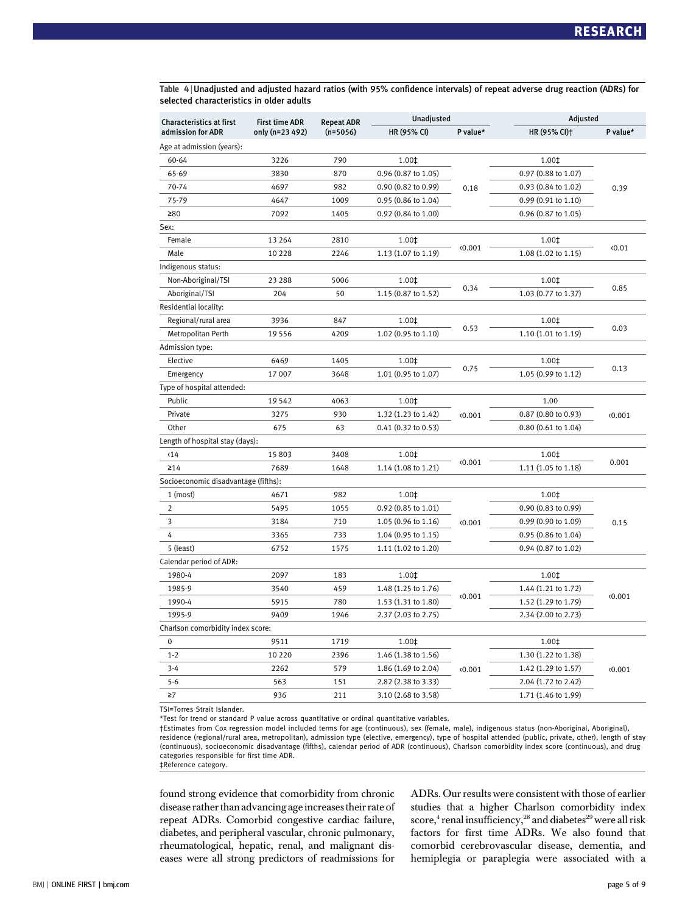Table 4 <sup>|</sup> Unadjusted and adjusted hazard ratios (with 95% confidence intervals) of repeat adverse drug reaction (ADRs) for selected characteristics in older adults

| <b>Characteristics at first</b>      | <b>First time ADR</b> | <b>Repeat ADR</b> | Unadjusted                |          | Adjusted                 |          |
|--------------------------------------|-----------------------|-------------------|---------------------------|----------|--------------------------|----------|
| admission for ADR                    | only (n=23 492)       | $(n=5056)$        | HR (95% CI)               | P value* | HR (95% CI) <sup>+</sup> | P value* |
| Age at admission (years):            |                       |                   |                           |          |                          |          |
| 60-64                                | 3226                  | 790               | 1.00‡                     |          | 1.00‡                    |          |
| 65-69                                | 3830                  | 870               | 0.96 (0.87 to 1.05)       |          | 0.97 (0.88 to 1.07)      |          |
| 70-74                                | 4697                  | 982               | 0.90 (0.82 to 0.99)       | 0.18     | 0.93 (0.84 to 1.02)      | 0.39     |
| 75-79                                | 4647                  | 1009              | 0.95 (0.86 to 1.04)       |          | 0.99 (0.91 to 1.10)      |          |
| $\geq 80$                            | 7092                  | 1405              | 0.92 (0.84 to 1.00)       |          | 0.96 (0.87 to 1.05)      |          |
| Sex:                                 |                       |                   |                           |          |                          |          |
| Female                               | 13 2 64               | 2810              | 1.00‡                     |          | 1.00‡                    |          |
| Male                                 | 10 2 28               | 2246              | 1.13 (1.07 to 1.19)       | 0.001    | 1.08 (1.02 to 1.15)      | 0.01     |
| Indigenous status:                   |                       |                   |                           |          |                          |          |
| Non-Aboriginal/TSI                   | 23 288                | 5006              | 1.00‡                     |          | 1.00‡                    | 0.85     |
| Aboriginal/TSI                       | 204                   | 50                | 1.15 (0.87 to 1.52)       | 0.34     | 1.03 (0.77 to 1.37)      |          |
| Residential locality:                |                       |                   |                           |          |                          |          |
| Regional/rural area                  | 3936                  | 847               | 1.00‡                     |          | 1.00‡                    | 0.03     |
| Metropolitan Perth                   | 19556                 | 4209              | 1.02 (0.95 to 1.10)       | 0.53     | 1.10 (1.01 to 1.19)      |          |
| Admission type:                      |                       |                   |                           |          |                          |          |
| Elective                             | 6469                  | 1405              | 1.00‡                     |          | 1.00‡                    |          |
| Emergency                            | 17007                 | 3648              | 1.01 (0.95 to 1.07)       | 0.75     | 1.05 (0.99 to 1.12)      | 0.13     |
| Type of hospital attended:           |                       |                   |                           |          |                          |          |
| Public                               | 19542                 | 4063              | 1.00‡                     |          | 1.00                     | (0.001)  |
| Private                              | 3275                  | 930               | 1.32 (1.23 to 1.42)       | (0.001)  | 0.87 (0.80 to 0.93)      |          |
| Other                                | 675                   | 63                | $0.41$ $(0.32$ to $0.53)$ |          | 0.80 (0.61 to 1.04)      |          |
| Length of hospital stay (days):      |                       |                   |                           |          |                          |          |
| $14$                                 | 15803                 | 3408              | 1.00‡                     |          | 1.00‡                    |          |
| $\geq$ 14                            | 7689                  | 1648              | 1.14 (1.08 to 1.21)       | (0.001)  | 1.11 (1.05 to 1.18)      | 0.001    |
| Socioeconomic disadvantage (fifths): |                       |                   |                           |          |                          |          |
| $1$ (most)                           | 4671                  | 982               | 1.00‡                     |          | 1.00‡                    |          |
| $\overline{2}$                       | 5495                  | 1055              | 0.92 (0.85 to 1.01)       |          | 0.90 (0.83 to 0.99)      |          |
| 3                                    | 3184                  | 710               | 1.05 (0.96 to 1.16)       | 0.001    | 0.99 (0.90 to 1.09)      | 0.15     |
| 4                                    | 3365                  | 733               | 1.04 (0.95 to 1.15)       |          | 0.95 (0.86 to 1.04)      |          |
| 5 (least)                            | 6752                  | 1575              | 1.11 (1.02 to 1.20)       |          | 0.94 (0.87 to 1.02)      |          |
| Calendar period of ADR:              |                       |                   |                           |          |                          |          |
| 1980-4                               | 2097                  | 183               | 1.00‡                     |          | 1.00‡                    |          |
| 1985-9                               | 3540                  | 459               | 1.48 (1.25 to 1.76)       |          | 1.44 (1.21 to 1.72)      | 0.001    |
| 1990-4                               | 5915                  | 780               | 1.53 (1.31 to 1.80)       | 0.001    | 1.52 (1.29 to 1.79)      |          |
| 1995-9                               | 9409                  | 1946              | 2.37 (2.03 to 2.75)       |          | 2.34 (2.00 to 2.73)      |          |
| Charlson comorbidity index score:    |                       |                   |                           |          |                          |          |
| 0                                    | 9511                  | 1719              | 1.00‡                     |          | 1.00‡                    |          |
| $1 - 2$                              | 10 2 20               | 2396              | 1.46 (1.38 to 1.56)       |          | 1.30 (1.22 to 1.38)      |          |
| $3 - 4$                              | 2262                  | 579               | 1.86 (1.69 to 2.04)       | 0.001    | 1.42 (1.29 to 1.57)      | 0.001    |
| $5 - 6$                              | 563                   | 151               | 2.82 (2.38 to 3.33)       |          | 2.04 (1.72 to 2.42)      |          |
| $\geq 7$                             | 936                   | 211               | 3.10 (2.68 to 3.58)       |          | 1.71 (1.46 to 1.99)      |          |

TSI=Torres Strait Islander.

\*Test for trend or standard P value across quantitative or ordinal quantitative variables.

†Estimates from Cox regression model included terms for age (continuous), sex (female, male), indigenous status (non-Aboriginal, Aboriginal), residence (regional/rural area, metropolitan), admission type (elective, emergency), type of hospital attended (public, private, other), length of stay (continuous), socioeconomic disadvantage (fifths), calendar period of ADR (continuous), Charlson comorbidity index score (continuous), and drug categories responsible for first time ADR. ‡Reference category.

found strong evidence that comorbidity from chronic disease rather than advancing age increases their rate of repeat ADRs. Comorbid congestive cardiac failure, diabetes, and peripheral vascular, chronic pulmonary, rheumatological, hepatic, renal, and malignant diseases were all strong predictors of readmissions for ADRs. Our results were consistent with those of earlier studies that a higher Charlson comorbidity index score,<sup>4</sup> renal insufficiency,<sup>28</sup> and diabetes<sup>29</sup> were all risk factors for first time ADRs. We also found that comorbid cerebrovascular disease, dementia, and hemiplegia or paraplegia were associated with a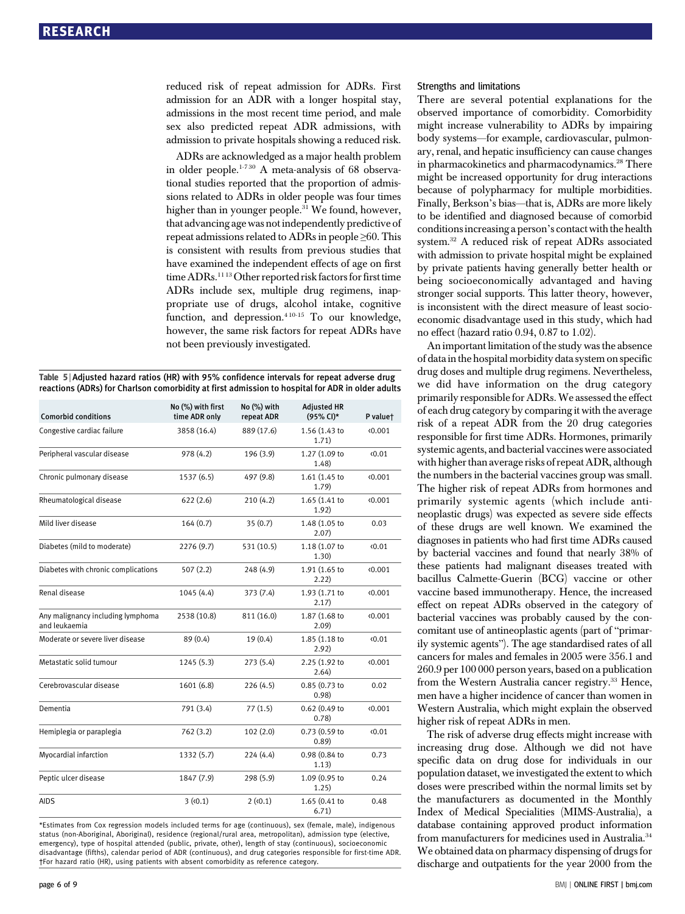reduced risk of repeat admission for ADRs. First admission for an ADR with a longer hospital stay, admissions in the most recent time period, and male sex also predicted repeat ADR admissions, with admission to private hospitals showing a reduced risk.

ADRs are acknowledged as a major health problem in older people.<sup>1-730</sup> A meta-analysis of 68 observational studies reported that the proportion of admissions related to ADRs in older people was four times higher than in younger people.<sup>31</sup> We found, however, that advancing age was not independently predictive of repeat admissions related to ADRs in people ≥60. This is consistent with results from previous studies that have examined the independent effects of age on first time ADRs.<sup>1113</sup> Other reported risk factors for first time ADRs include sex, multiple drug regimens, inappropriate use of drugs, alcohol intake, cognitive function, and depression.<sup>4 10-15</sup> To our knowledge, however, the same risk factors for repeat ADRs have not been previously investigated.

| Table 5 Adjusted hazard ratios (HR) with 95% confidence intervals for repeat adverse drug        |  |
|--------------------------------------------------------------------------------------------------|--|
| reactions (ADRs) for Charlson comorbidity at first admission to hospital for ADR in older adults |  |

| <b>Comorbid conditions</b>                         | No (%) with first<br>time ADR only | No (%) with<br>repeat ADR | <b>Adjusted HR</b><br>(95% CI)* | P valuet |
|----------------------------------------------------|------------------------------------|---------------------------|---------------------------------|----------|
| Congestive cardiac failure                         | 3858 (16.4)                        | 889 (17.6)                | 1.56 (1.43 to<br>1.71)          | 0.001    |
| Peripheral vascular disease                        | 978 (4.2)                          | 196 (3.9)                 | 1.27 (1.09 to<br>1.48)          | 0.01     |
| Chronic pulmonary disease                          | 1537 (6.5)                         | 497 (9.8)                 | 1.61 (1.45 to<br>1.79)          | 0.001    |
| Rheumatological disease                            | 622(2.6)                           | 210(4.2)                  | 1.65 (1.41 to<br>1.92)          | 0.001    |
| Mild liver disease                                 | 164(0.7)                           | 35(0.7)                   | 1.48 (1.05 to<br>2.07)          | 0.03     |
| Diabetes (mild to moderate)                        | 2276 (9.7)                         | 531 (10.5)                | 1.18 (1.07 to<br>1.30)          | 0.01     |
| Diabetes with chronic complications                | 507(2.2)                           | 248 (4.9)                 | 1.91 (1.65 to<br>2.22)          | 0.001    |
| Renal disease                                      | 1045 (4.4)                         | 373 (7.4)                 | 1.93 (1.71 to<br>2.17)          | (0.001)  |
| Any malignancy including lymphoma<br>and leukaemia | 2538 (10.8)                        | 811 (16.0)                | 1.87 (1.68 to<br>2.09           | 0.001    |
| Moderate or severe liver disease                   | 89 (0.4)                           | 19(0.4)                   | 1.85 (1.18 to<br>2.92)          | 0.01     |
| Metastatic solid tumour                            | 1245(5.3)                          | 273(5.4)                  | 2.25 (1.92 to<br>2.64)          | 0.001    |
| Cerebrovascular disease                            | 1601(6.8)                          | 226(4.5)                  | 0.85 (0.73 to<br>0.98           | 0.02     |
| Dementia                                           | 791 (3.4)                          | 77(1.5)                   | 0.62 (0.49 to<br>0.78)          | 0.001    |
| Hemiplegia or paraplegia                           | 762 (3.2)                          | 102(2.0)                  | 0.73 (0.59 to<br>(0.89)         | 0.01     |
| Myocardial infarction                              | 1332 (5.7)                         | 224(4.4)                  | 0.98 (0.84 to<br>1.13)          | 0.73     |
| Peptic ulcer disease                               | 1847 (7.9)                         | 298(5.9)                  | 1.09 (0.95 to<br>1.25)          | 0.24     |
| <b>AIDS</b>                                        | 3(0.1)                             | 2(0.1)                    | 1.65 (0.41 to<br>6.71)          | 0.48     |

\*Estimates from Cox regression models included terms for age (continuous), sex (female, male), indigenous status (non-Aboriginal, Aboriginal), residence (regional/rural area, metropolitan), admission type (elective, emergency), type of hospital attended (public, private, other), length of stay (continuous), socioeconomic disadvantage (fifths), calendar period of ADR (continuous), and drug categories responsible for first-time ADR. †For hazard ratio (HR), using patients with absent comorbidity as reference category.

#### Strengths and limitations

There are several potential explanations for the observed importance of comorbidity. Comorbidity might increase vulnerability to ADRs by impairing body systems—for example, cardiovascular, pulmonary, renal, and hepatic insufficiency can cause changes in pharmacokinetics and pharmacodynamics.<sup>28</sup> There might be increased opportunity for drug interactions because of polypharmacy for multiple morbidities. Finally, Berkson's bias—that is, ADRs are more likely to be identified and diagnosed because of comorbid conditions increasing a person's contact with the health system.32 A reduced risk of repeat ADRs associated with admission to private hospital might be explained by private patients having generally better health or being socioeconomically advantaged and having stronger social supports. This latter theory, however, is inconsistent with the direct measure of least socioeconomic disadvantage used in this study, which had no effect (hazard ratio 0.94, 0.87 to 1.02).

An important limitation of the study was the absence of data in the hospital morbidity data system on specific drug doses and multiple drug regimens. Nevertheless, we did have information on the drug category primarily responsible for ADRs.We assessed the effect of each drug category by comparing it with the average risk of a repeat ADR from the 20 drug categories responsible for first time ADRs. Hormones, primarily systemic agents, and bacterial vaccines were associated with higher than average risks of repeat ADR, although the numbers in the bacterial vaccines group was small. The higher risk of repeat ADRs from hormones and primarily systemic agents (which include antineoplastic drugs) was expected as severe side effects of these drugs are well known. We examined the diagnoses in patients who had first time ADRs caused by bacterial vaccines and found that nearly 38% of these patients had malignant diseases treated with bacillus Calmette-Guerin (BCG) vaccine or other vaccine based immunotherapy. Hence, the increased effect on repeat ADRs observed in the category of bacterial vaccines was probably caused by the concomitant use of antineoplastic agents (part of "primarily systemic agents"). The age standardised rates of all cancers for males and females in 2005 were 356.1 and 260.9 per 100 000 person years, based on a publication from the Western Australia cancer registry.<sup>33</sup> Hence, men have a higher incidence of cancer than women in Western Australia, which might explain the observed higher risk of repeat ADRs in men.

The risk of adverse drug effects might increase with increasing drug dose. Although we did not have specific data on drug dose for individuals in our population dataset, we investigated the extent to which doses were prescribed within the normal limits set by the manufacturers as documented in the Monthly Index of Medical Specialities (MIMS-Australia), a database containing approved product information from manufacturers for medicines used in Australia.<sup>34</sup> We obtained data on pharmacy dispensing of drugs for discharge and outpatients for the year 2000 from the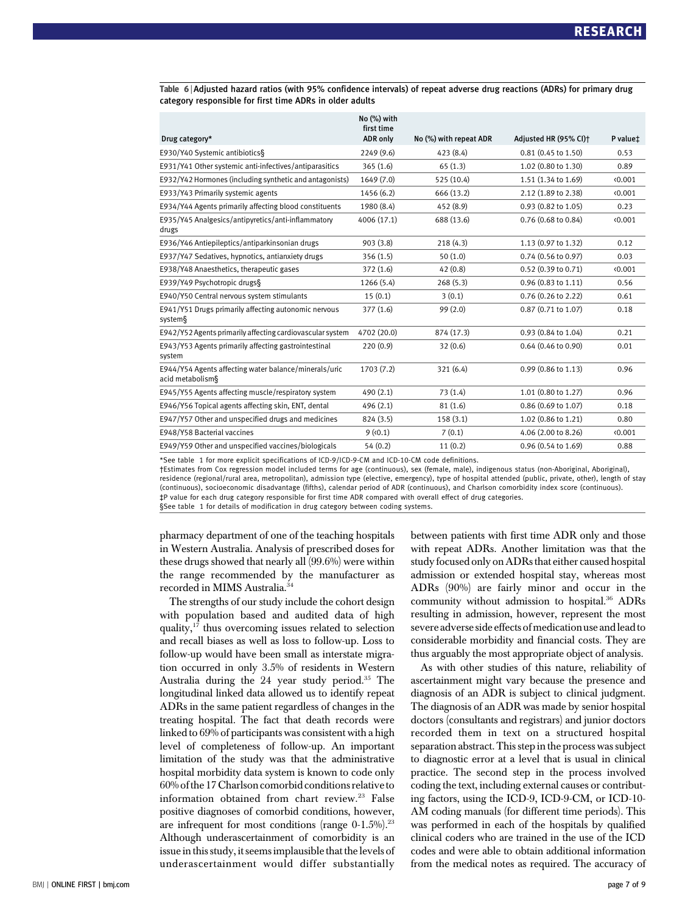Table 6 <sup>|</sup> Adjusted hazard ratios (with 95% confidence intervals) of repeat adverse drug reactions (ADRs) for primary drug category responsible for first time ADRs in older adults

|                                                                           | No (%) with<br>first time |                        |                                   |                      |
|---------------------------------------------------------------------------|---------------------------|------------------------|-----------------------------------|----------------------|
| Drug category*                                                            | ADR only                  | No (%) with repeat ADR | Adjusted HR (95% CI) <sup>+</sup> | P value <sup>+</sup> |
| E930/Y40 Systemic antibiotics§                                            | 2249 (9.6)                | 423 (8.4)              | $0.81$ (0.45 to 1.50)             | 0.53                 |
| E931/Y41 Other systemic anti-infectives/antiparasitics                    | 365(1.6)                  | 65(1.3)                | 1.02 (0.80 to 1.30)               | 0.89                 |
| E932/Y42 Hormones (including synthetic and antagonists)                   | 1649 (7.0)                | 525 (10.4)             | 1.51 (1.34 to 1.69)               | (0.001)              |
| E933/Y43 Primarily systemic agents                                        | 1456 (6.2)                | 666 (13.2)             | 2.12 (1.89 to 2.38)               | (0.001)              |
| E934/Y44 Agents primarily affecting blood constituents                    | 1980 (8.4)                | 452 (8.9)              | 0.93 (0.82 to 1.05)               | 0.23                 |
| E935/Y45 Analgesics/antipyretics/anti-inflammatory<br>drugs               | 4006 (17.1)               | 688 (13.6)             | 0.76 (0.68 to 0.84)               | (0.001)              |
| E936/Y46 Antiepileptics/antiparkinsonian drugs                            | 903(3.8)                  | 218(4.3)               | 1.13 (0.97 to 1.32)               | 0.12                 |
| E937/Y47 Sedatives, hypnotics, antianxiety drugs                          | 356(1.5)                  | 50(1.0)                | $0.74$ $(0.56$ to $0.97)$         | 0.03                 |
| E938/Y48 Anaesthetics, therapeutic gases                                  | 372(1.6)                  | 42(0.8)                | 0.52(0.39 to 0.71)                | (0.001)              |
| E939/Y49 Psychotropic drugs§                                              | 1266 (5.4)                | 268(5.3)               | $0.96(0.83 \text{ to } 1.11)$     | 0.56                 |
| E940/Y50 Central nervous system stimulants                                | 15(0.1)                   | 3(0.1)                 | $0.76$ $(0.26$ to $2.22)$         | 0.61                 |
| E941/Y51 Drugs primarily affecting autonomic nervous<br>system§           | 377(1.6)                  | 99 (2.0)               | $0.87$ (0.71 to 1.07)             | 0.18                 |
| E942/Y52 Agents primarily affecting cardiovascular system                 | 4702 (20.0)               | 874 (17.3)             | 0.93 (0.84 to 1.04)               | 0.21                 |
| E943/Y53 Agents primarily affecting gastrointestinal<br>system            | 220(0.9)                  | 32(0.6)                | 0.64 (0.46 to 0.90)               | 0.01                 |
| E944/Y54 Agents affecting water balance/minerals/uric<br>acid metabolism§ | 1703 (7.2)                | 321 (6.4)              | 0.99 (0.86 to 1.13)               | 0.96                 |
| E945/Y55 Agents affecting muscle/respiratory system                       | 490(2.1)                  | 73(1.4)                | 1.01 (0.80 to 1.27)               | 0.96                 |
| E946/Y56 Topical agents affecting skin, ENT, dental                       | 496 (2.1)                 | 81(1.6)                | 0.86 (0.69 to 1.07)               | 0.18                 |
| E947/Y57 Other and unspecified drugs and medicines                        | 824(3.5)                  | 158(3.1)               | 1.02 (0.86 to 1.21)               | 0.80                 |
| E948/Y58 Bacterial vaccines                                               | 9(6.1)                    | 7(0.1)                 | 4.06 (2.00 to 8.26)               | (0.001)              |
| E949/Y59 Other and unspecified vaccines/biologicals                       | 54(0.2)                   | 11(0.2)                | 0.96 (0.54 to 1.69)               | 0.88                 |

\*See table 1 for more explicit specifications of ICD-9/ICD-9-CM and ICD-10-CM code definitions.

†Estimates from Cox regression model included terms for age (continuous), sex (female, male), indigenous status (non-Aboriginal, Aboriginal), residence (regional/rural area, metropolitan), admission type (elective, emergency), type of hospital attended (public, private, other), length of stay (continuous), socioeconomic disadvantage (fifths), calendar period of ADR (continuous), and Charlson comorbidity index score (continuous). ‡P value for each drug category responsible for first time ADR compared with overall effect of drug categories.

§See table 1 for details of modification in drug category between coding systems.

pharmacy department of one of the teaching hospitals in Western Australia. Analysis of prescribed doses for these drugs showed that nearly all (99.6%) were within the range recommended by the manufacturer as recorded in MIMS Australia.<sup>34</sup>

The strengths of our study include the cohort design with population based and audited data of high quality, $1^7$  thus overcoming issues related to selection and recall biases as well as loss to follow-up. Loss to follow-up would have been small as interstate migration occurred in only 3.5% of residents in Western Australia during the 24 year study period.<sup>35</sup> The longitudinal linked data allowed us to identify repeat ADRs in the same patient regardless of changes in the treating hospital. The fact that death records were linked to 69% of participants was consistent with a high level of completeness of follow-up. An important limitation of the study was that the administrative hospital morbidity data system is known to code only 60% ofthe 17 Charlson comorbid conditions relativeto information obtained from chart review.<sup>23</sup> False positive diagnoses of comorbid conditions, however, are infrequent for most conditions (range  $0-1.5\%$ ).<sup>23</sup> Although underascertainment of comorbidity is an issue in this study, it seems implausible that the levels of underascertainment would differ substantially between patients with first time ADR only and those with repeat ADRs. Another limitation was that the study focused only on ADRs that either caused hospital admission or extended hospital stay, whereas most ADRs (90%) are fairly minor and occur in the community without admission to hospital.<sup>36</sup> ADRs resulting in admission, however, represent the most severe adverse side effects of medication use and lead to considerable morbidity and financial costs. They are thus arguably the most appropriate object of analysis.

As with other studies of this nature, reliability of ascertainment might vary because the presence and diagnosis of an ADR is subject to clinical judgment. The diagnosis of an ADR was made by senior hospital doctors (consultants and registrars) and junior doctors recorded them in text on a structured hospital separation abstract. This step in the process was subject to diagnostic error at a level that is usual in clinical practice. The second step in the process involved coding the text, including external causes or contributing factors, using the ICD-9, ICD-9-CM, or ICD-10- AM coding manuals (for different time periods). This was performed in each of the hospitals by qualified clinical coders who are trained in the use of the ICD codes and were able to obtain additional information from the medical notes as required. The accuracy of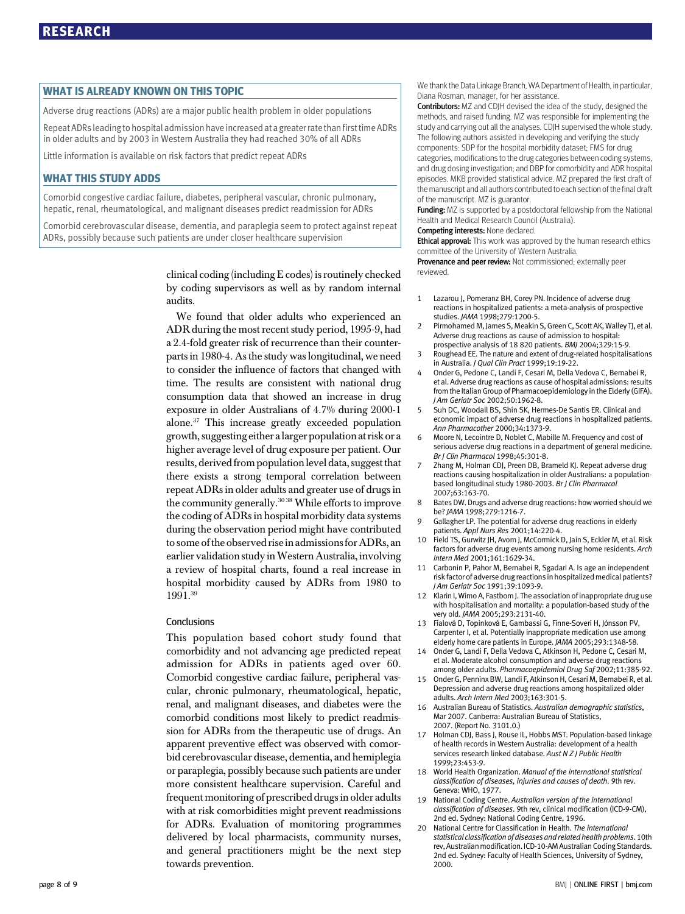#### WHAT IS ALREADY KNOWN ON THIS TOPIC

Adverse drug reactions (ADRs) are a major public health problem in older populations

Repeat ADRsleading to hospital admission have increased at a greater rate thanfirst time ADRs in older adults and by 2003 in Western Australia they had reached 30% of all ADRs

Little information is available on risk factors that predict repeat ADRs

#### WHAT THIS STUDY ADDS

Comorbid congestive cardiac failure, diabetes, peripheral vascular, chronic pulmonary, hepatic, renal, rheumatological, and malignant diseases predict readmission for ADRs

Comorbid cerebrovascular disease, dementia, and paraplegia seem to protect against repeat ADRs, possibly because such patients are under closer healthcare supervision

> clinical coding (including E codes) is routinely checked by coding supervisors as well as by random internal audits.

> We found that older adults who experienced an ADR during the most recent study period, 1995-9, had a 2.4-fold greater risk of recurrence than their counterparts in 1980-4. As the study was longitudinal, we need to consider the influence of factors that changed with time. The results are consistent with national drug consumption data that showed an increase in drug exposure in older Australians of 4.7% during 2000-1 alone.37 This increase greatly exceeded population growth, suggesting either a larger population at risk or a higher average level of drug exposure per patient. Our results, derived from population level data, suggest that there exists a strong temporal correlation between repeat ADRs in older adults and greater use of drugs in the community generally.<sup>3038</sup> While efforts to improve the coding of ADRs in hospital morbidity data systems during the observation period might have contributed to some ofthe observed rise in admissionsfor ADRs, an earlier validation study inWestern Australia, involving a review of hospital charts, found a real increase in hospital morbidity caused by ADRs from 1980 to 1991.39

#### **Conclusions**

This population based cohort study found that comorbidity and not advancing age predicted repeat admission for ADRs in patients aged over 60. Comorbid congestive cardiac failure, peripheral vascular, chronic pulmonary, rheumatological, hepatic, renal, and malignant diseases, and diabetes were the comorbid conditions most likely to predict readmission for ADRs from the therapeutic use of drugs. An apparent preventive effect was observed with comorbid cerebrovascular disease, dementia, and hemiplegia or paraplegia, possibly because such patients are under more consistent healthcare supervision. Careful and frequent monitoring of prescribed drugs in older adults with at risk comorbidities might prevent readmissions for ADRs. Evaluation of monitoring programmes delivered by local pharmacists, community nurses, and general practitioners might be the next step towards prevention.

We thank the Data Linkage Branch, WA Department of Health, in particular, Diana Rosman, manager, for her assistance.

Contributors: MZ and CDJH devised the idea of the study, designed the methods, and raised funding. MZ was responsible for implementing the study and carrying out all the analyses. CDJH supervised the whole study. The following authors assisted in developing and verifying the study components: SDP for the hospital morbidity dataset; FMS for drug categories, modifications to the drug categories between coding systems, and drug dosing investigation; and DBP for comorbidity and ADR hospital episodes. MKB provided statistical advice. MZ prepared the first draft of the manuscript and all authors contributed to each section of the final draft of the manuscript. MZ is guarantor.

Funding: MZ is supported by a postdoctoral fellowship from the National Health and Medical Research Council (Australia).

Competing interests: None declared.

Ethical approval: This work was approved by the human research ethics committee of the University of Western Australia.

Provenance and peer review: Not commissioned; externally peer reviewed.

- 1 Lazarou J, Pomeranz BH, Corey PN. Incidence of adverse drug reactions in hospitalized patients: a meta-analysis of prospective studies. JAMA 1998;279:1200-5.
- 2 Pirmohamed M, James S, Meakin S, Green C, Scott AK, Walley TJ, et al. Adverse drug reactions as cause of admission to hospital: prospective analysis of 18 820 patients. BMJ 2004;329:15-9.
- 3 Roughead EE. The nature and extent of drug-related hospitalisations in Australia. J Qual Clin Pract 1999;19:19-22.
- 4 Onder G, Pedone C, Landi F, Cesari M, Della Vedova C, Bernabei R, et al. Adverse drug reactions as cause of hospital admissions: results from the Italian Group of Pharmacoepidemiology in the Elderly (GIFA). J Am Geriatr Soc 2002;50:1962-8.
- 5 Suh DC, Woodall BS, Shin SK, Hermes-De Santis ER. Clinical and economic impact of adverse drug reactions in hospitalized patients. Ann Pharmacother 2000;34:1373-9.
- 6 Moore N, Lecointre D, Noblet C, Mabille M. Frequency and cost of serious adverse drug reactions in a department of general medicine. Br J Clin Pharmacol 1998;45:301-8.
- 7 Zhang M, Holman CDJ, Preen DB, Brameld KJ. Repeat adverse drug reactions causing hospitalization in older Australians: a populationbased longitudinal study 1980-2003. Br J Clin Pharmacol 2007;63:163-70.
- 8 Bates DW. Drugs and adverse drug reactions: how worried should we be? JAMA 1998;279:1216-7.
- 9 Gallagher LP. The potential for adverse drug reactions in elderly patients. Appl Nurs Res 2001;14:220-4.
- 10 Field TS, Gurwitz JH, Avorn J, McCormick D, Jain S, Eckler M, et al. Risk factors for adverse drug events among nursing home residents. Arch Intern Med 2001;161:1629-34.
- 11 Carbonin P, Pahor M, Bernabei R, Sgadari A. Is age an independent risk factor of adverse drug reactions in hospitalized medical patients? J Am Geriatr Soc 1991;39:1093-9.
- 12 Klarin I, Wimo A, Fastbom J. The association of inappropriate drug use with hospitalisation and mortality: a population-based study of the very old. JAMA 2005;293:2131-40.
- 13 Fialová D, Topinková E, Gambassi G, Finne-Soveri H, Jónsson PV, Carpenter I, et al. Potentially inappropriate medication use among elderly home care patients in Europe. JAMA 2005;293:1348-58.
- 14 Onder G, Landi F, Della Vedova C, Atkinson H, Pedone C, Cesari M, et al. Moderate alcohol consumption and adverse drug reactions among older adults. Pharmacoepidemiol Drug Saf 2002;11:385-92.
- 15 Onder G, Penninx BW, Landi F, Atkinson H, Cesari M, Bernabei R, et al. Depression and adverse drug reactions among hospitalized older adults. Arch Intern Med 2003;163:301-5.
- 16 Australian Bureau of Statistics. Australian demographic statistics, Mar 2007. Canberra: Australian Bureau of Statistics, 2007. (Report No. 3101.0.)
- 17 Holman CDJ, Bass J, Rouse IL, Hobbs MST. Population-based linkage of health records in Western Australia: development of a health services research linked database. Aust N Z J Public Health 1999;23:453-9.
- 18 World Health Organization. Manual of the international statistical classification of diseases, injuries and causes of death. 9th rev. Geneva: WHO, 1977.
- 19 National Coding Centre. Australian version of the international classification of diseases. 9th rev, clinical modification (ICD-9-CM), 2nd ed. Sydney: National Coding Centre, 1996.
- 20 National Centre for Classification in Health. The international statistical classification of diseases and related health problems. 10th rev, Australian modification. ICD-10-AM Australian Coding Standards. 2nd ed. Sydney: Faculty of Health Sciences, University of Sydney, 2000.